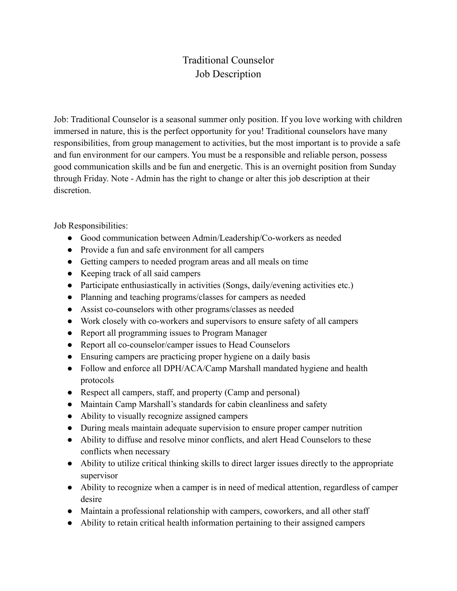## Traditional Counselor Job Description

Job: Traditional Counselor is a seasonal summer only position. If you love working with children immersed in nature, this is the perfect opportunity for you! Traditional counselors have many responsibilities, from group management to activities, but the most important is to provide a safe and fun environment for our campers. You must be a responsible and reliable person, possess good communication skills and be fun and energetic. This is an overnight position from Sunday through Friday. Note - Admin has the right to change or alter this job description at their discretion.

Job Responsibilities:

- Good communication between Admin/Leadership/Co-workers as needed
- Provide a fun and safe environment for all campers
- Getting campers to needed program areas and all meals on time
- Keeping track of all said campers
- Participate enthusiastically in activities (Songs, daily/evening activities etc.)
- Planning and teaching programs/classes for campers as needed
- Assist co-counselors with other programs/classes as needed
- Work closely with co-workers and supervisors to ensure safety of all campers
- Report all programming issues to Program Manager
- Report all co-counselor/camper issues to Head Counselors
- Ensuring campers are practicing proper hygiene on a daily basis
- Follow and enforce all DPH/ACA/Camp Marshall mandated hygiene and health protocols
- Respect all campers, staff, and property (Camp and personal)
- Maintain Camp Marshall's standards for cabin cleanliness and safety
- Ability to visually recognize assigned campers
- During meals maintain adequate supervision to ensure proper camper nutrition
- Ability to diffuse and resolve minor conflicts, and alert Head Counselors to these conflicts when necessary
- Ability to utilize critical thinking skills to direct larger issues directly to the appropriate supervisor
- Ability to recognize when a camper is in need of medical attention, regardless of camper desire
- Maintain a professional relationship with campers, coworkers, and all other staff
- Ability to retain critical health information pertaining to their assigned campers